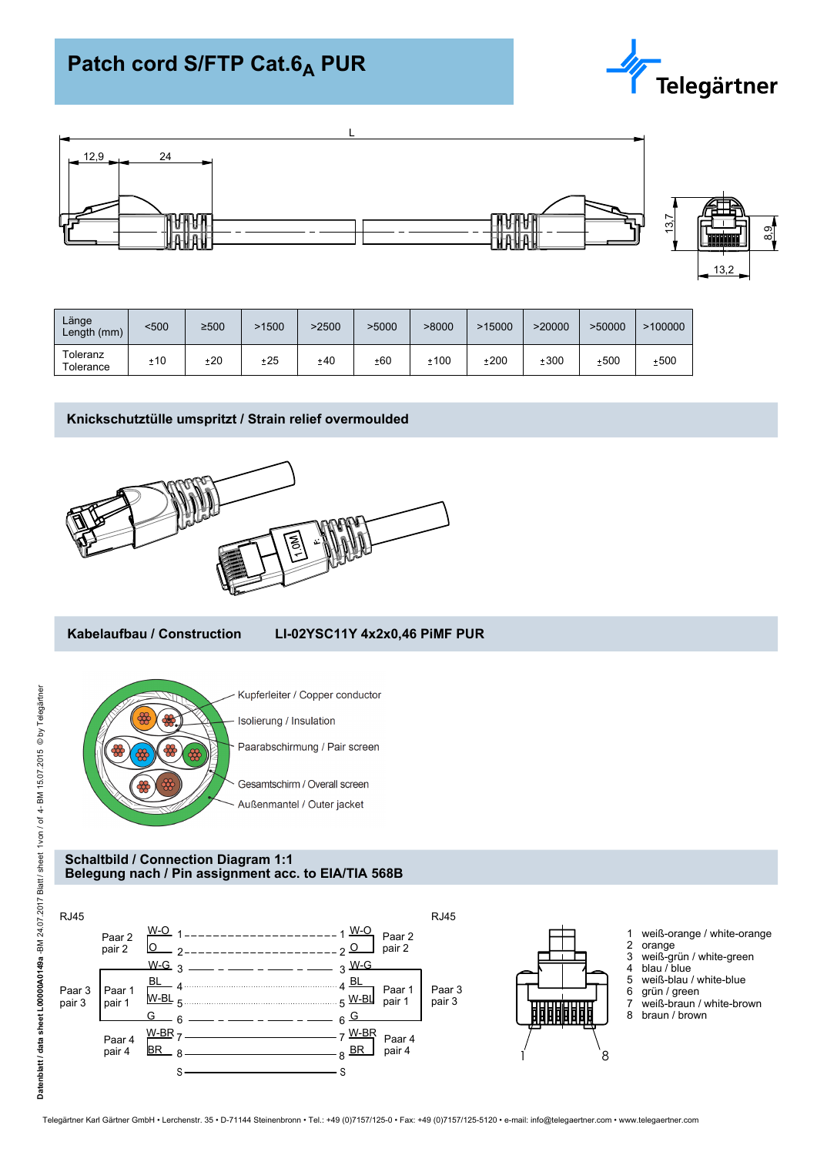# **Patch cord S/FTP Cat.6<sub>A</sub> PUR**





| Länge<br>Length (mm)  | <500 | ≥500 | -1500 | >2500 | >5000 | >8000  | >15000 | >20000 | >50000 | >100000 |
|-----------------------|------|------|-------|-------|-------|--------|--------|--------|--------|---------|
| Toleranz<br>Tolerance | ±10  | ±20  | ±25   | ±40   | ±60   | $+100$ | ±200   | $+300$ | ±500   | ±500    |

## **Knickschutztülle umspritzt / Strain relief overmoulded**



## **Kabelaufbau / Construction LI-02YSC11Y 4x2x0,46 PiMF PUR**



#### **Schaltbild / Connection Diagram 1:1 Belegung nach / Pin assignment acc. to EIA/TIA 568B**

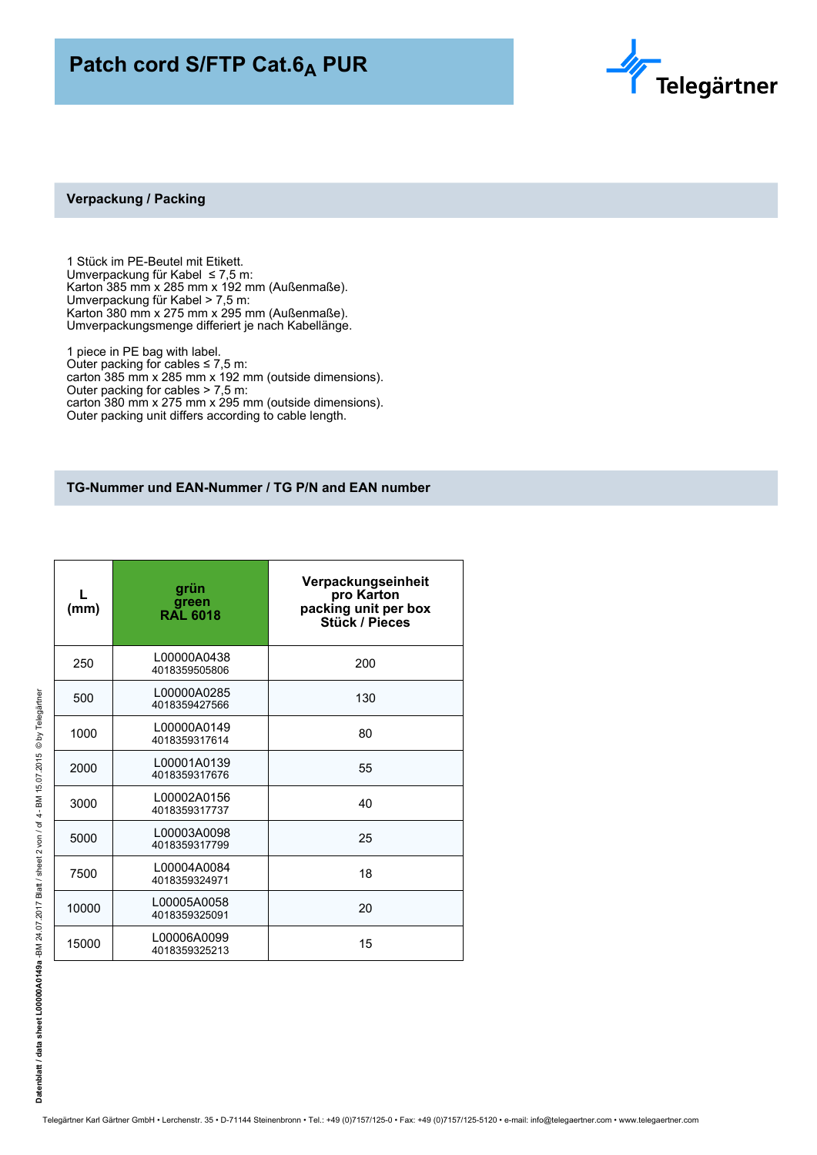## **Patch cord S/FTP Cat.6<sub>A</sub> PUR**



#### **Verpackung / Packing**

1 Stück im PE-Beutel mit Etikett. Umverpackung für Kabel ≤ 7,5 m: Karton 385 mm x 285 mm x 192 mm (Außenmaße). Umverpackung für Kabel > 7,5 m: Karton 380 mm x 275 mm x 295 mm (Außenmaße). Umverpackungsmenge differiert je nach Kabellänge.

1 piece in PE bag with label. Outer packing for cables  $\leq 7.5$  m: carton 385 mm x 285 mm x 192 mm (outside dimensions). Outer packing for cables > 7,5 m: carton 380 mm x 275 mm x 295 mm (outside dimensions). Outer packing unit differs according to cable length.

## **TG-Nummer und EAN-Nummer / TG P/N and EAN number**

| (mm)  | grün<br>green<br>RAL 6018    | Verpackungseinheit<br>pro Karton<br>packing unit per box<br><b>Stück / Pieces</b> |
|-------|------------------------------|-----------------------------------------------------------------------------------|
| 250   | L00000A0438<br>4018359505806 | 200                                                                               |
| 500   | L00000A0285<br>4018359427566 | 130                                                                               |
| 1000  | L00000A0149<br>4018359317614 | 80                                                                                |
| 2000  | L00001A0139<br>4018359317676 | 55                                                                                |
| 3000  | L00002A0156<br>4018359317737 | 40                                                                                |
| 5000  | L00003A0098<br>4018359317799 | 25                                                                                |
| 7500  | L00004A0084<br>4018359324971 | 18                                                                                |
| 10000 | L00005A0058<br>4018359325091 | 20                                                                                |
| 15000 | L00006A0099<br>4018359325213 | 15                                                                                |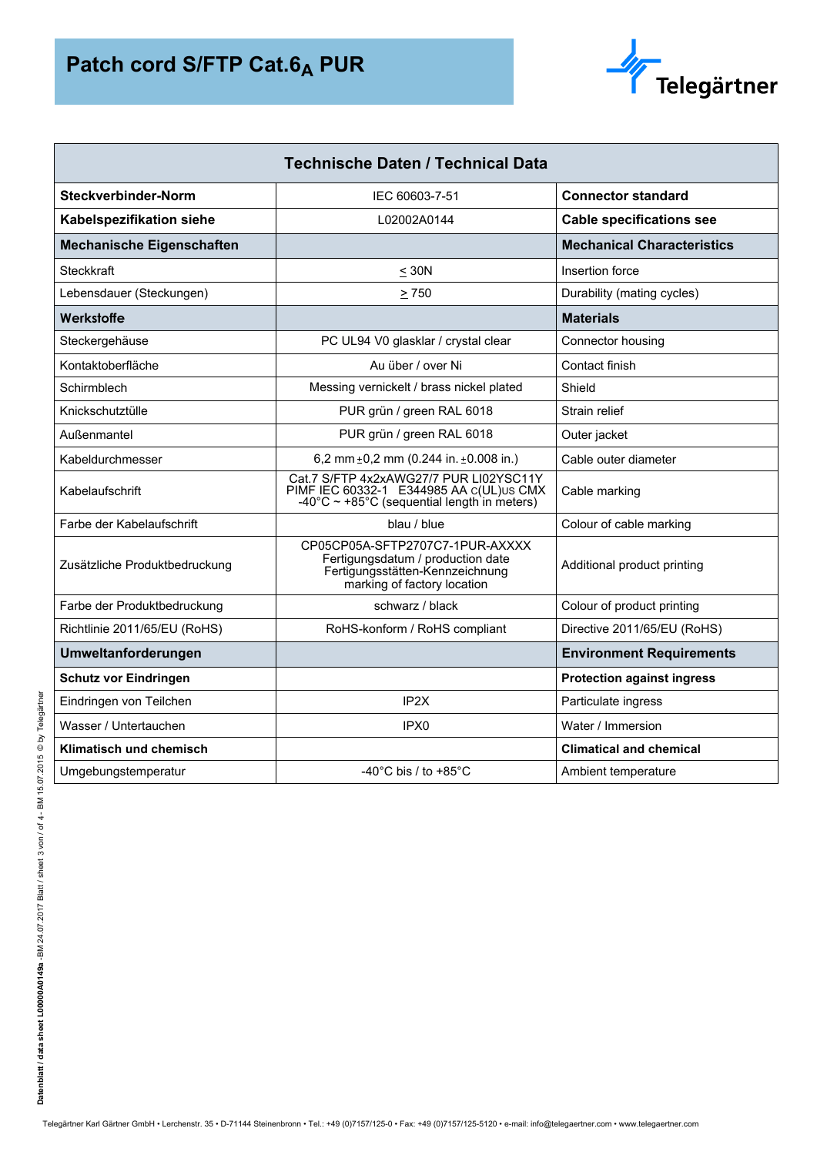

| <b>Technische Daten / Technical Data</b> |                                                                                                                                            |                                   |  |  |  |
|------------------------------------------|--------------------------------------------------------------------------------------------------------------------------------------------|-----------------------------------|--|--|--|
| Steckverbinder-Norm                      | IEC 60603-7-51                                                                                                                             | <b>Connector standard</b>         |  |  |  |
| Kabelspezifikation siehe                 | L02002A0144                                                                                                                                | <b>Cable specifications see</b>   |  |  |  |
| <b>Mechanische Eigenschaften</b>         |                                                                                                                                            | <b>Mechanical Characteristics</b> |  |  |  |
| Steckkraft                               | $<$ 30N                                                                                                                                    | Insertion force                   |  |  |  |
| Lebensdauer (Steckungen)                 | $\geq 750$                                                                                                                                 | Durability (mating cycles)        |  |  |  |
| Werkstoffe                               |                                                                                                                                            | <b>Materials</b>                  |  |  |  |
| Steckergehäuse                           | PC UL94 V0 glasklar / crystal clear                                                                                                        | Connector housing                 |  |  |  |
| Kontaktoberfläche                        | Au über / over Ni                                                                                                                          | Contact finish                    |  |  |  |
| Schirmblech                              | Messing vernickelt / brass nickel plated                                                                                                   | Shield                            |  |  |  |
| Knickschutztülle                         | PUR grün / green RAL 6018                                                                                                                  | Strain relief                     |  |  |  |
| Außenmantel                              | PUR grün / green RAL 6018                                                                                                                  | Outer jacket                      |  |  |  |
| Kabeldurchmesser                         | 6,2 mm $\pm$ 0,2 mm (0.244 in. $\pm$ 0.008 in.)                                                                                            | Cable outer diameter              |  |  |  |
| Kabelaufschrift                          | Cat.7 S/FTP 4x2xAWG27/7 PUR LI02YSC11Y<br>PIMF IEC 60332-1 E344985 AA c(UL)US CMX<br>$-40^{\circ}$ C ~ +85°C (sequential length in meters) | Cable marking                     |  |  |  |
| Farbe der Kabelaufschrift                | blau / blue                                                                                                                                | Colour of cable marking           |  |  |  |
| Zusätzliche Produktbedruckung            | CP05CP05A-SFTP2707C7-1PUR-AXXXX<br>Fertigungsdatum / production date<br>Fertigungsstätten-Kennzeichnung<br>marking of factory location     | Additional product printing       |  |  |  |
| Farbe der Produktbedruckung              | schwarz / black                                                                                                                            | Colour of product printing        |  |  |  |
| Richtlinie 2011/65/EU (RoHS)             | RoHS-konform / RoHS compliant                                                                                                              | Directive 2011/65/EU (RoHS)       |  |  |  |
| Umweltanforderungen                      |                                                                                                                                            | <b>Environment Requirements</b>   |  |  |  |
| <b>Schutz vor Eindringen</b>             |                                                                                                                                            | <b>Protection against ingress</b> |  |  |  |
| Eindringen von Teilchen                  | IP <sub>2</sub> X                                                                                                                          | Particulate ingress               |  |  |  |
| Wasser / Untertauchen                    | IPX0                                                                                                                                       | Water / Immersion                 |  |  |  |
| Klimatisch und chemisch                  |                                                                                                                                            | <b>Climatical and chemical</b>    |  |  |  |
| Umgebungstemperatur                      | -40°C bis / to +85°C                                                                                                                       | Ambient temperature               |  |  |  |